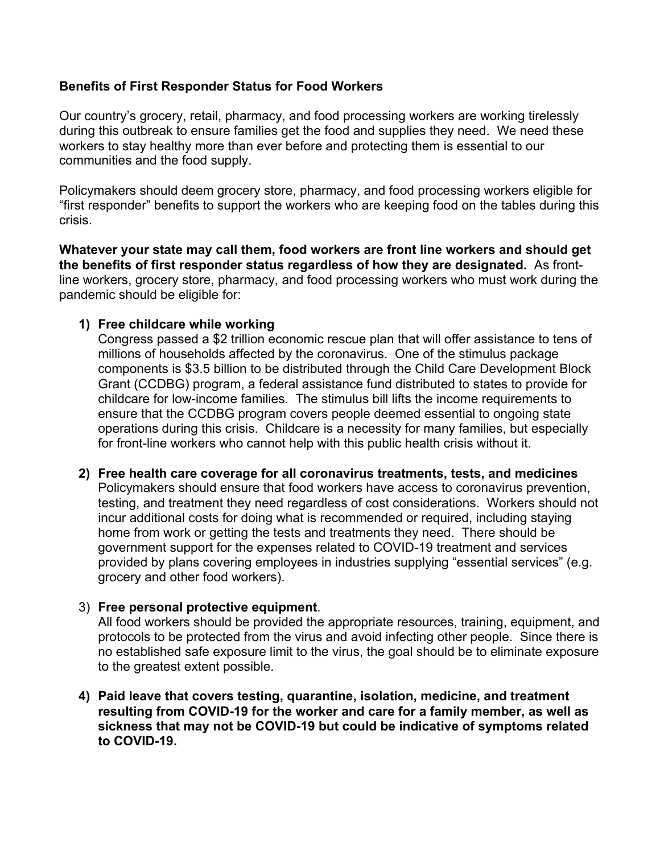## **Benefits of First Responder Status for Food Workers**

Our country's grocery, retail, pharmacy, and food processing workers are working tirelessly during this outbreak to ensure families get the food and supplies they need. We need these workers to stay healthy more than ever before and protecting them is essential to our communities and the food supply.

Policymakers should deem grocery store, pharmacy, and food processing workers eligible for "first responder" benefits to support the workers who are keeping food on the tables during this crisis.

**Whatever your state may call them, food workers are front line workers and should get the benefits of first responder status regardless of how they are designated.** As frontline workers, grocery store, pharmacy, and food processing workers who must work during the pandemic should be eligible for:

## **1) Free childcare while working**

Congress passed a \$2 trillion economic rescue plan that will offer assistance to tens of millions of households affected by the coronavirus. One of the stimulus package components is \$3.5 billion to be distributed through the Child Care Development Block Grant (CCDBG) program, a federal assistance fund distributed to states to provide for childcare for low-income families. The stimulus bill lifts the income requirements to ensure that the CCDBG program covers people deemed essential to ongoing state operations during this crisis. Childcare is a necessity for many families, but especially for front-line workers who cannot help with this public health crisis without it.

**2) Free health care coverage for all coronavirus treatments, tests, and medicines** Policymakers should ensure that food workers have access to coronavirus prevention, testing, and treatment they need regardless of cost considerations. Workers should not incur additional costs for doing what is recommended or required, including staying home from work or getting the tests and treatments they need. There should be government support for the expenses related to COVID-19 treatment and services provided by plans covering employees in industries supplying "essential services" (e.g. grocery and other food workers).

## 3) **Free personal protective equipment**.

All food workers should be provided the appropriate resources, training, equipment, and protocols to be protected from the virus and avoid infecting other people. Since there is no established safe exposure limit to the virus, the goal should be to eliminate exposure to the greatest extent possible.

**4) Paid leave that covers testing, quarantine, isolation, medicine, and treatment resulting from COVID-19 for the worker and care for a family member, as well as sickness that may not be COVID-19 but could be indicative of symptoms related to COVID-19.**